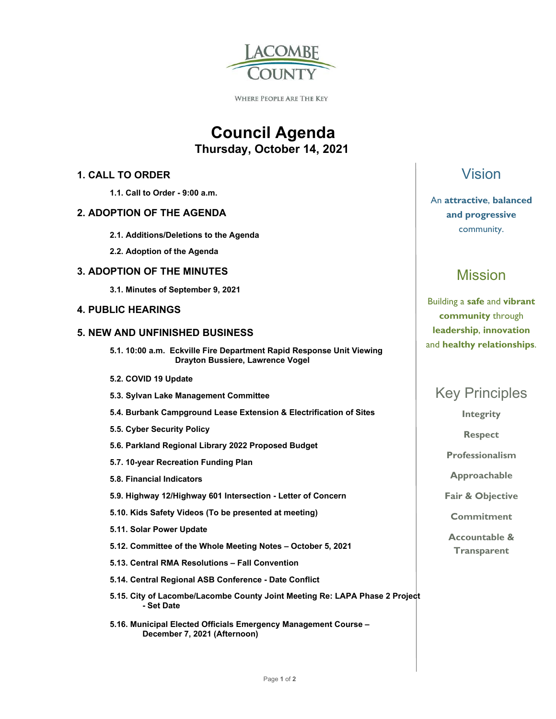

**WHERE PEOPLE ARE THE KEY** 

# **Council Agenda Thursday, October 14, 2021**

### **1. CALL TO ORDER**

 **1.1. Call to Order - 9:00 a.m.** 

#### **2. ADOPTION OF THE AGENDA**

- **2.1. Additions/Deletions to the Agenda**
- **2.2. Adoption of the Agenda**

#### **3. ADOPTION OF THE MINUTES**

 **3.1. Minutes of September 9, 2021** 

### **4. PUBLIC HEARINGS**

#### **5. NEW AND UNFINISHED BUSINESS**

- **5.1. 10:00 a.m. Eckville Fire Department Rapid Response Unit Viewing Drayton Bussiere, Lawrence Vogel**
- **5.2. COVID 19 Update**
- **5.3. Sylvan Lake Management Committee**
- **5.4. Burbank Campground Lease Extension & Electrification of Sites**
- **5.5. Cyber Security Policy**
- **5.6. Parkland Regional Library 2022 Proposed Budget**
- **5.7. 10-year Recreation Funding Plan**
- **5.8. Financial Indicators**
- **5.9. Highway 12/Highway 601 Intersection Letter of Concern**
- **5.10. Kids Safety Videos (To be presented at meeting)**
- **5.11. Solar Power Update**
- **5.12. Committee of the Whole Meeting Notes October 5, 2021**
- **5.13. Central RMA Resolutions Fall Convention**
- **5.14. Central Regional ASB Conference Date Conflict**
- **5.15. City of Lacombe/Lacombe County Joint Meeting Re: LAPA Phase 2 Project - Set Date**
- **5.16. Municipal Elected Officials Emergency Management Course December 7, 2021 (Afternoon)**

## Vision

### An **attractive**, **balanced and progressive**  community.

# Mission

Building a **safe** and **vibrant community** through **leadership**, **innovation**  and **healthy relationships**.

## Key Principles

**Integrity** 

**Respect** 

**Professionalism** 

**Approachable** 

**Fair & Objective** 

**Commitment** 

**Accountable & Transparent**